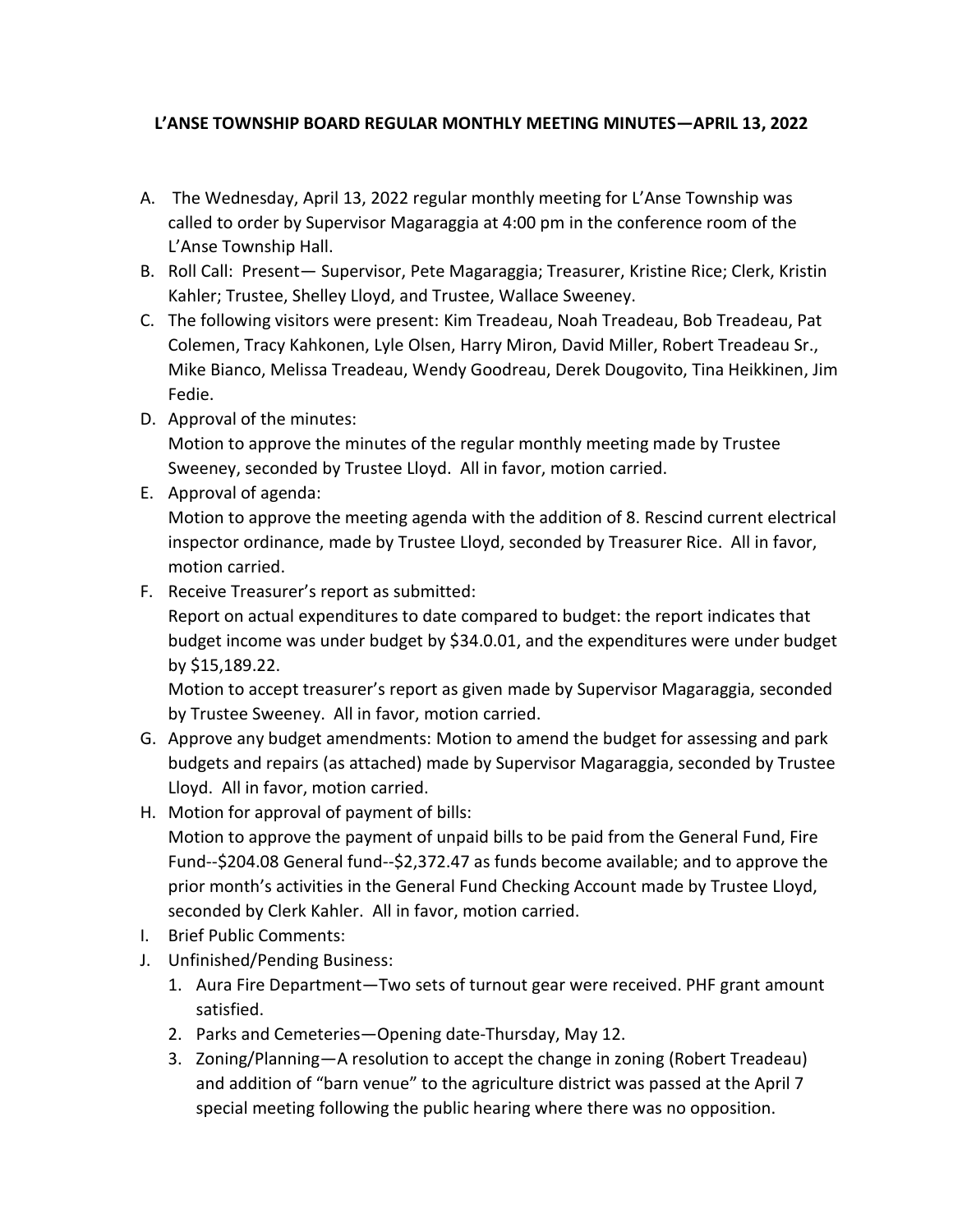## **L'ANSE TOWNSHIP BOARD REGULAR MONTHLY MEETING MINUTES—APRIL 13, 2022**

- A. The Wednesday, April 13, 2022 regular monthly meeting for L'Anse Township was called to order by Supervisor Magaraggia at 4:00 pm in the conference room of the L'Anse Township Hall.
- B. Roll Call: Present— Supervisor, Pete Magaraggia; Treasurer, Kristine Rice; Clerk, Kristin Kahler; Trustee, Shelley Lloyd, and Trustee, Wallace Sweeney.
- C. The following visitors were present: Kim Treadeau, Noah Treadeau, Bob Treadeau, Pat Colemen, Tracy Kahkonen, Lyle Olsen, Harry Miron, David Miller, Robert Treadeau Sr., Mike Bianco, Melissa Treadeau, Wendy Goodreau, Derek Dougovito, Tina Heikkinen, Jim Fedie.
- D. Approval of the minutes:

Motion to approve the minutes of the regular monthly meeting made by Trustee Sweeney, seconded by Trustee Lloyd. All in favor, motion carried.

E. Approval of agenda:

Motion to approve the meeting agenda with the addition of 8. Rescind current electrical inspector ordinance, made by Trustee Lloyd, seconded by Treasurer Rice. All in favor, motion carried.

F. Receive Treasurer's report as submitted:

Report on actual expenditures to date compared to budget: the report indicates that budget income was under budget by \$34.0.01, and the expenditures were under budget by \$15,189.22.

Motion to accept treasurer's report as given made by Supervisor Magaraggia, seconded by Trustee Sweeney. All in favor, motion carried.

- G. Approve any budget amendments: Motion to amend the budget for assessing and park budgets and repairs (as attached) made by Supervisor Magaraggia, seconded by Trustee Lloyd. All in favor, motion carried.
- H. Motion for approval of payment of bills:

Motion to approve the payment of unpaid bills to be paid from the General Fund, Fire Fund--\$204.08 General fund--\$2,372.47 as funds become available; and to approve the prior month's activities in the General Fund Checking Account made by Trustee Lloyd, seconded by Clerk Kahler. All in favor, motion carried.

- I. Brief Public Comments:
- J. Unfinished/Pending Business:
	- 1. Aura Fire Department—Two sets of turnout gear were received. PHF grant amount satisfied.
	- 2. Parks and Cemeteries—Opening date-Thursday, May 12.
	- 3. Zoning/Planning—A resolution to accept the change in zoning (Robert Treadeau) and addition of "barn venue" to the agriculture district was passed at the April 7 special meeting following the public hearing where there was no opposition.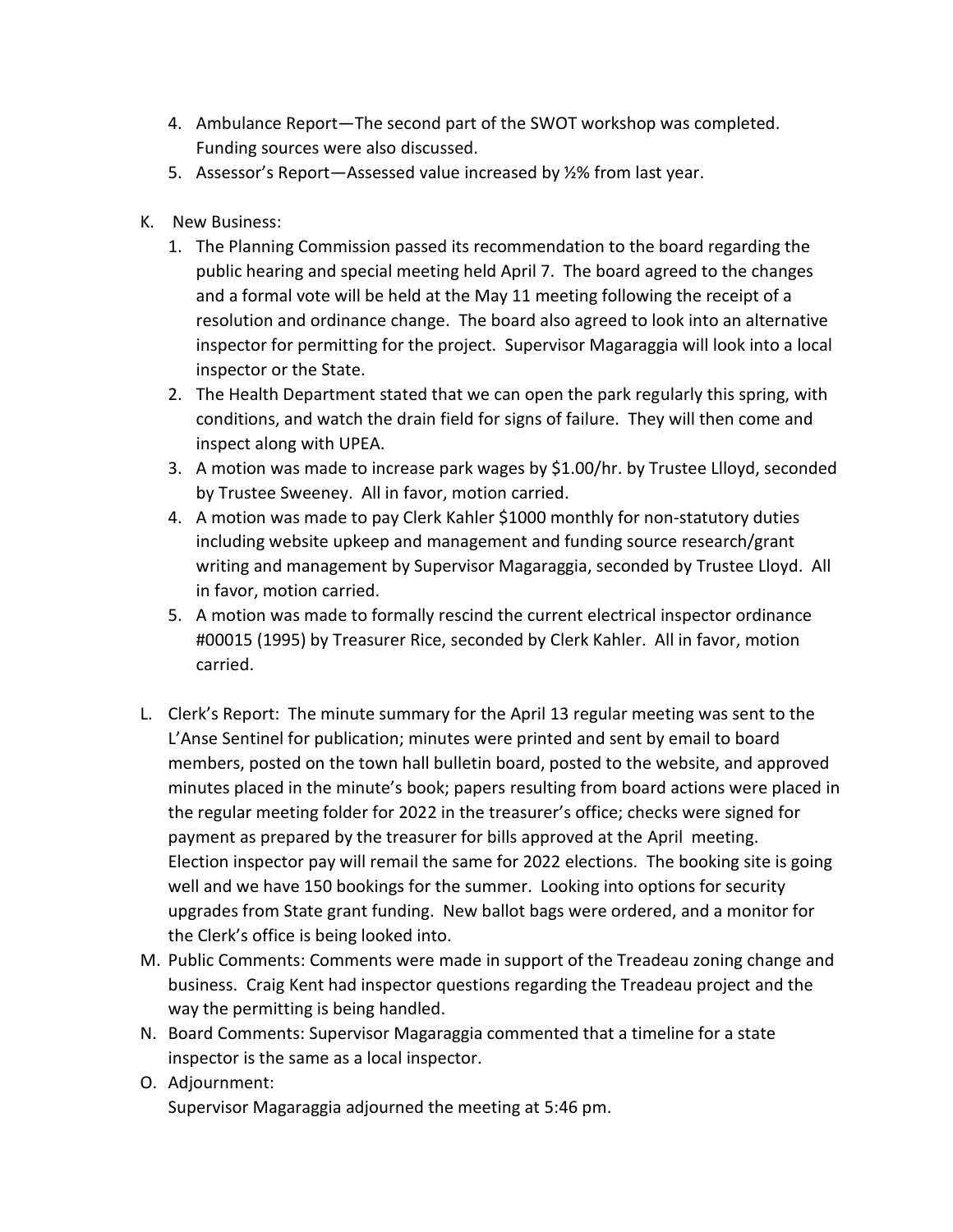- 4. Ambulance Report—The second part of the SWOT workshop was completed. Funding sources were also discussed.
- 5. Assessor's Report—Assessed value increased by ½% from last year.
- K. New Business:
	- 1. The Planning Commission passed its recommendation to the board regarding the public hearing and special meeting held April 7. The board agreed to the changes and a formal vote will be held at the May 11 meeting following the receipt of a resolution and ordinance change. The board also agreed to look into an alternative inspector for permitting for the project. Supervisor Magaraggia will look into a local inspector or the State.
	- 2. The Health Department stated that we can open the park regularly this spring, with conditions, and watch the drain field for signs of failure. They will then come and inspect along with UPEA.
	- 3. A motion was made to increase park wages by \$1.00/hr. by Trustee Llloyd, seconded by Trustee Sweeney. All in favor, motion carried.
	- 4. A motion was made to pay Clerk Kahler \$1000 monthly for non-statutory duties including website upkeep and management and funding source research/grant writing and management by Supervisor Magaraggia, seconded by Trustee Lloyd. All in favor, motion carried.
	- 5. A motion was made to formally rescind the current electrical inspector ordinance #00015 (1995) by Treasurer Rice, seconded by Clerk Kahler. All in favor, motion carried.
- L. Clerk's Report: The minute summary for the April 13 regular meeting was sent to the L'Anse Sentinel for publication; minutes were printed and sent by email to board members, posted on the town hall bulletin board, posted to the website, and approved minutes placed in the minute's book; papers resulting from board actions were placed in the regular meeting folder for 2022 in the treasurer's office; checks were signed for payment as prepared by the treasurer for bills approved at the April meeting. Election inspector pay will remail the same for 2022 elections. The booking site is going well and we have 150 bookings for the summer. Looking into options for security upgrades from State grant funding. New ballot bags were ordered, and a monitor for the Clerk's office is being looked into.
- M. Public Comments: Comments were made in support of the Treadeau zoning change and business. Craig Kent had inspector questions regarding the Treadeau project and the way the permitting is being handled.
- N. Board Comments: Supervisor Magaraggia commented that a timeline for a state inspector is the same as a local inspector.
- O. Adjournment: Supervisor Magaraggia adjourned the meeting at 5:46 pm.